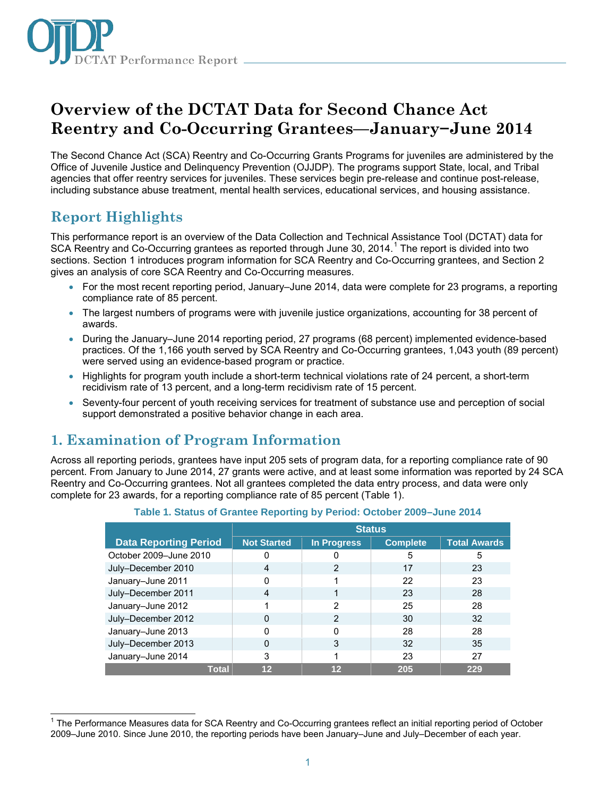

# **Overview of the DCTAT Data for Second Chance Act Reentry and Co-Occurring Grantees—January−June 2014**

The Second Chance Act (SCA) Reentry and Co-Occurring Grants Programs for juveniles are administered by the Office of Juvenile Justice and Delinquency Prevention (OJJDP). The programs support State, local, and Tribal agencies that offer reentry services for juveniles. These services begin pre-release and continue post-release, including substance abuse treatment, mental health services, educational services, and housing assistance.

# **Report Highlights**

This performance report is an overview of the Data Collection and Technical Assistance Tool (DCTAT) data for SCA Reentry and Co-Occurring grantees as reported through June 30, 20[1](#page-0-0)4.<sup>1</sup> The report is divided into two sections. Section 1 introduces program information for SCA Reentry and Co-Occurring grantees, and Section 2 gives an analysis of core SCA Reentry and Co-Occurring measures.

- For the most recent reporting period, January–June 2014, data were complete for 23 programs, a reporting compliance rate of 85 percent.
- The largest numbers of programs were with juvenile justice organizations, accounting for 38 percent of awards.
- During the January–June 2014 reporting period, 27 programs (68 percent) implemented evidence-based practices. Of the 1,166 youth served by SCA Reentry and Co-Occurring grantees, 1,043 youth (89 percent) were served using an evidence-based program or practice.
- Highlights for program youth include a short-term technical violations rate of 24 percent, a short-term recidivism rate of 13 percent, and a long-term recidivism rate of 15 percent.
- Seventy-four percent of youth receiving services for treatment of substance use and perception of social support demonstrated a positive behavior change in each area.

## **1. Examination of Program Information**

Across all reporting periods, grantees have input 205 sets of program data, for a reporting compliance rate of 90 percent. From January to June 2014, 27 grants were active, and at least some information was reported by 24 SCA Reentry and Co-Occurring grantees. Not all grantees completed the data entry process, and data were only complete for 23 awards, for a reporting compliance rate of 85 percent (Table 1).

|                              | <b>Status</b>      |             |                 |                     |  |
|------------------------------|--------------------|-------------|-----------------|---------------------|--|
| <b>Data Reporting Period</b> | <b>Not Started</b> | In Progress | <b>Complete</b> | <b>Total Awards</b> |  |
| October 2009-June 2010       | O                  |             | 5               | 5                   |  |
| July-December 2010           | 4                  | 2           | 17              | 23                  |  |
| January-June 2011            | n                  |             | 22              | 23                  |  |
| July-December 2011           | 4                  |             | 23              | 28                  |  |
| January-June 2012            |                    | 2           | 25              | 28                  |  |
| July-December 2012           | O                  | 2           | 30              | 32                  |  |
| January-June 2013            | ი                  | 0           | 28              | 28                  |  |
| July-December 2013           | O                  | 3           | 32              | 35                  |  |
| January-June 2014            | 3                  |             | 23              | 27                  |  |
| <b>Total</b>                 | 12                 | 12          | 205             | 229                 |  |

#### **Table 1. Status of Grantee Reporting by Period: October 2009–June 2014**

<span id="page-0-0"></span> $\overline{\phantom{a}}$  $1$  The Performance Measures data for SCA Reentry and Co-Occurring grantees reflect an initial reporting period of October 2009–June 2010. Since June 2010, the reporting periods have been January–June and July–December of each year.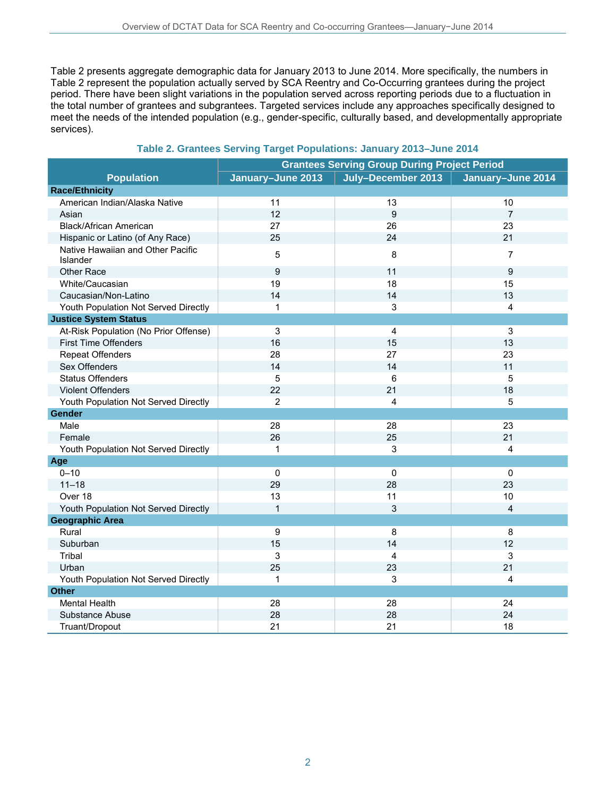Table 2 presents aggregate demographic data for January 2013 to June 2014. More specifically, the numbers in Table 2 represent the population actually served by SCA Reentry and Co-Occurring grantees during the project period. There have been slight variations in the population served across reporting periods due to a fluctuation in the total number of grantees and subgrantees. Targeted services include any approaches specifically designed to meet the needs of the intended population (e.g., gender-specific, culturally based, and developmentally appropriate services).

#### **Table 2. Grantees Serving Target Populations: January 2013–June 2014**

|                                               | <b>Grantees Serving Group During Project Period</b> |                    |                         |
|-----------------------------------------------|-----------------------------------------------------|--------------------|-------------------------|
| <b>Population</b>                             | January-June 2013                                   | July-December 2013 | January-June 2014       |
| <b>Race/Ethnicity</b>                         |                                                     |                    |                         |
| American Indian/Alaska Native                 | 11                                                  | 13                 | 10                      |
| Asian                                         | 12                                                  | 9                  | $\overline{7}$          |
| <b>Black/African American</b>                 | 27                                                  | 26                 | 23                      |
| Hispanic or Latino (of Any Race)              | 25                                                  | 24                 | 21                      |
| Native Hawaiian and Other Pacific<br>Islander | 5                                                   | 8                  | 7                       |
| Other Race                                    | $\boldsymbol{9}$                                    | 11                 | 9                       |
| White/Caucasian                               | 19                                                  | 18                 | 15                      |
| Caucasian/Non-Latino                          | 14                                                  | 14                 | 13                      |
| Youth Population Not Served Directly          | $\mathbf{1}$                                        | 3                  | 4                       |
| <b>Justice System Status</b>                  |                                                     |                    |                         |
| At-Risk Population (No Prior Offense)         | 3                                                   | $\overline{4}$     | 3                       |
| <b>First Time Offenders</b>                   | 16                                                  | 15                 | 13                      |
| <b>Repeat Offenders</b>                       | 28                                                  | 27                 | 23                      |
| Sex Offenders                                 | 14                                                  | 14                 | 11                      |
| <b>Status Offenders</b>                       | 5                                                   | 6                  | 5                       |
| <b>Violent Offenders</b>                      | 22                                                  | 21                 | 18                      |
| Youth Population Not Served Directly          | $\overline{2}$                                      | 4                  | 5                       |
| Gender                                        |                                                     |                    |                         |
| Male                                          | 28                                                  | 28                 | 23                      |
| Female                                        | 26                                                  | 25                 | 21                      |
| Youth Population Not Served Directly          | $\mathbf{1}$                                        | 3                  | $\overline{\mathbf{4}}$ |
| Age                                           |                                                     |                    |                         |
| $0 - 10$                                      | $\mathbf 0$                                         | $\mathbf 0$        | $\mathbf 0$             |
| $11 - 18$                                     | 29                                                  | 28                 | 23                      |
| Over 18                                       | 13                                                  | 11                 | 10                      |
| Youth Population Not Served Directly          | $\mathbf{1}$                                        | 3                  | 4                       |
| <b>Geographic Area</b>                        |                                                     |                    |                         |
| Rural                                         | $\boldsymbol{9}$                                    | 8                  | 8                       |
| Suburban                                      | 15                                                  | 14                 | 12                      |
| Tribal                                        | 3                                                   | $\overline{4}$     | 3                       |
| Urban                                         | 25                                                  | 23                 | 21                      |
| Youth Population Not Served Directly          | 1                                                   | 3                  | 4                       |
| <b>Other</b>                                  |                                                     |                    |                         |
| Mental Health                                 | 28                                                  | 28                 | 24                      |
| Substance Abuse                               | 28                                                  | 28                 | 24                      |
| Truant/Dropout                                | 21                                                  | 21                 | 18                      |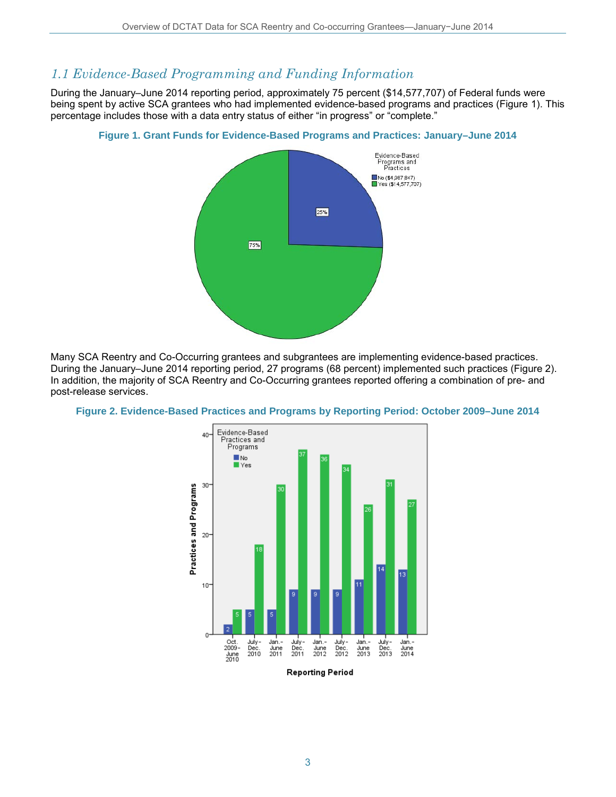### *1.1 Evidence-Based Programming and Funding Information*

During the January–June 2014 reporting period, approximately 75 percent (\$14,577,707) of Federal funds were being spent by active SCA grantees who had implemented evidence-based programs and practices (Figure 1). This percentage includes those with a data entry status of either "in progress" or "complete."

Fvidence-Based Programs and<br>Programs and ■No (\$4,987,847)<br>■Yes (\$14,577,707) 25% 75%

**Figure 1. Grant Funds for Evidence-Based Programs and Practices: January–June 2014**

Many SCA Reentry and Co-Occurring grantees and subgrantees are implementing evidence-based practices. During the January–June 2014 reporting period, 27 programs (68 percent) implemented such practices (Figure 2). In addition, the majority of SCA Reentry and Co-Occurring grantees reported offering a combination of pre- and post-release services.



**Figure 2. Evidence-Based Practices and Programs by Reporting Period: October 2009–June 2014**

**Reporting Period**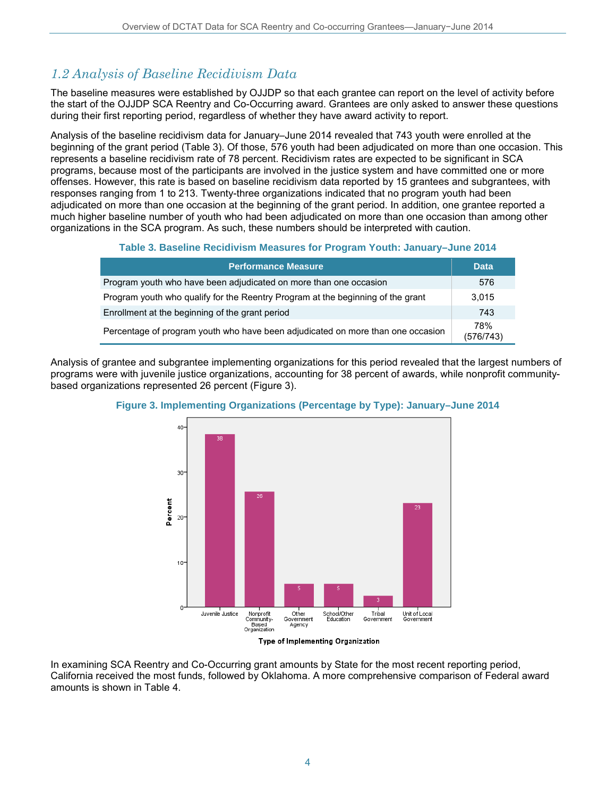### *1.2 Analysis of Baseline Recidivism Data*

The baseline measures were established by OJJDP so that each grantee can report on the level of activity before the start of the OJJDP SCA Reentry and Co-Occurring award. Grantees are only asked to answer these questions during their first reporting period, regardless of whether they have award activity to report.

Analysis of the baseline recidivism data for January–June 2014 revealed that 743 youth were enrolled at the beginning of the grant period (Table 3). Of those, 576 youth had been adjudicated on more than one occasion. This represents a baseline recidivism rate of 78 percent. Recidivism rates are expected to be significant in SCA programs, because most of the participants are involved in the justice system and have committed one or more offenses. However, this rate is based on baseline recidivism data reported by 15 grantees and subgrantees, with responses ranging from 1 to 213. Twenty-three organizations indicated that no program youth had been adjudicated on more than one occasion at the beginning of the grant period. In addition, one grantee reported a much higher baseline number of youth who had been adjudicated on more than one occasion than among other organizations in the SCA program. As such, these numbers should be interpreted with caution.

#### **Table 3. Baseline Recidivism Measures for Program Youth: January–June 2014**

| <b>Performance Measure</b>                                                      | <b>Data</b>      |
|---------------------------------------------------------------------------------|------------------|
| Program youth who have been adjudicated on more than one occasion               | 576              |
| Program youth who qualify for the Reentry Program at the beginning of the grant | 3.015            |
| Enrollment at the beginning of the grant period                                 | 743              |
| Percentage of program youth who have been adjudicated on more than one occasion | 78%<br>(576/743) |

Analysis of grantee and subgrantee implementing organizations for this period revealed that the largest numbers of programs were with juvenile justice organizations, accounting for 38 percent of awards, while nonprofit communitybased organizations represented 26 percent (Figure 3).





Type of Implementing Organization

In examining SCA Reentry and Co-Occurring grant amounts by State for the most recent reporting period, California received the most funds, followed by Oklahoma. A more comprehensive comparison of Federal award amounts is shown in Table 4.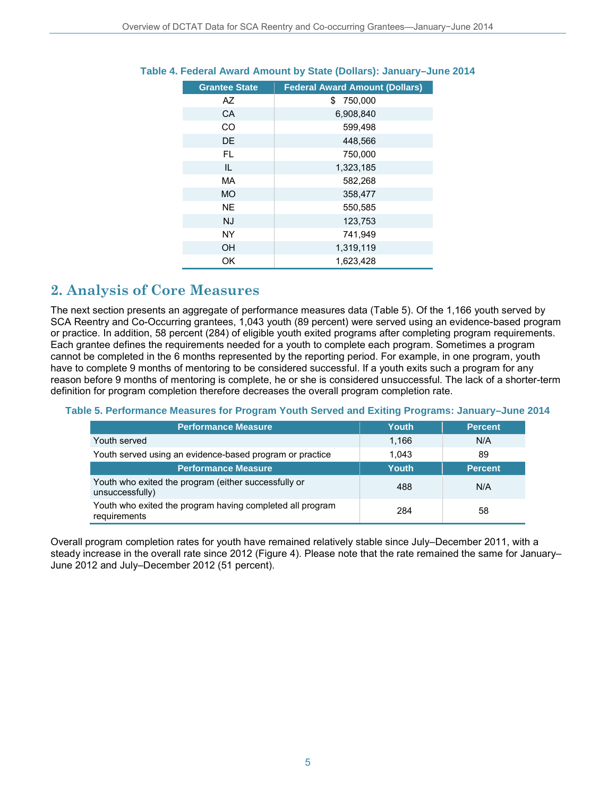| <b>Grantee State</b> | <b>Federal Award Amount (Dollars)</b> |
|----------------------|---------------------------------------|
| AZ                   | \$750,000                             |
| CA                   | 6,908,840                             |
| <b>CO</b>            | 599,498                               |
| DE                   | 448,566                               |
| FL                   | 750,000                               |
| IL                   | 1,323,185                             |
| MA                   | 582,268                               |
| <b>MO</b>            | 358,477                               |
| <b>NE</b>            | 550,585                               |
| <b>NJ</b>            | 123,753                               |
| <b>NY</b>            | 741.949                               |
| <b>OH</b>            | 1,319,119                             |
| OK                   | 1,623,428                             |

#### **Table 4. Federal Award Amount by State (Dollars): January–June 2014**

### **2. Analysis of Core Measures**

The next section presents an aggregate of performance measures data (Table 5). Of the 1,166 youth served by SCA Reentry and Co-Occurring grantees, 1,043 youth (89 percent) were served using an evidence-based program or practice. In addition, 58 percent (284) of eligible youth exited programs after completing program requirements. Each grantee defines the requirements needed for a youth to complete each program. Sometimes a program cannot be completed in the 6 months represented by the reporting period. For example, in one program, youth have to complete 9 months of mentoring to be considered successful. If a youth exits such a program for any reason before 9 months of mentoring is complete, he or she is considered unsuccessful. The lack of a shorter-term definition for program completion therefore decreases the overall program completion rate.

#### **Table 5. Performance Measures for Program Youth Served and Exiting Programs: January–June 2014**

| <b>Performance Measure</b>                                                | Youth | <b>Percent</b> |
|---------------------------------------------------------------------------|-------|----------------|
| Youth served                                                              | 1.166 | N/A            |
| Youth served using an evidence-based program or practice                  | 1.043 | 89             |
| <b>Performance Measure</b>                                                | Youth | <b>Percent</b> |
| Youth who exited the program (either successfully or<br>unsuccessfully)   | 488   | N/A            |
| Youth who exited the program having completed all program<br>requirements | 284   | 58             |

Overall program completion rates for youth have remained relatively stable since July–December 2011, with a steady increase in the overall rate since 2012 (Figure 4). Please note that the rate remained the same for January– June 2012 and July–December 2012 (51 percent).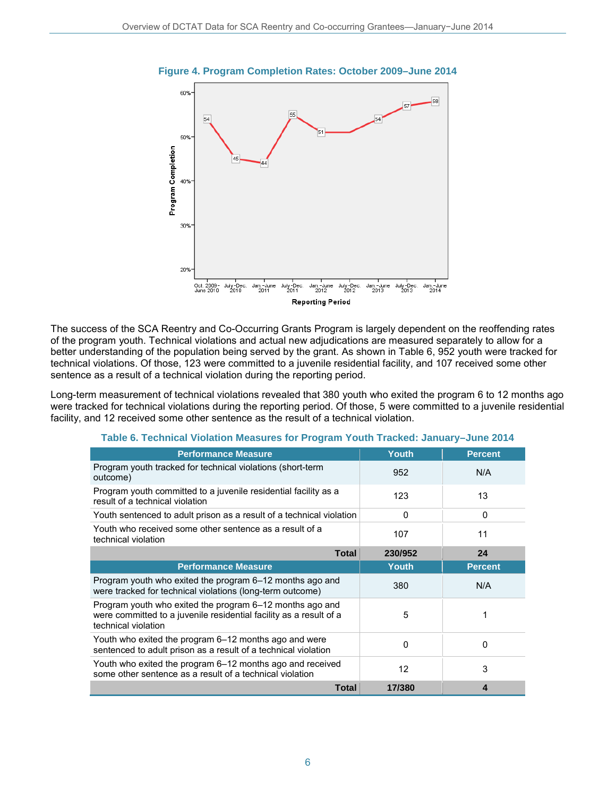

**Figure 4. Program Completion Rates: October 2009–June 2014**

The success of the SCA Reentry and Co-Occurring Grants Program is largely dependent on the reoffending rates of the program youth. Technical violations and actual new adjudications are measured separately to allow for a better understanding of the population being served by the grant. As shown in Table 6, 952 youth were tracked for technical violations. Of those, 123 were committed to a juvenile residential facility, and 107 received some other sentence as a result of a technical violation during the reporting period.

Long-term measurement of technical violations revealed that 380 youth who exited the program 6 to 12 months ago were tracked for technical violations during the reporting period. Of those, 5 were committed to a juvenile residential facility, and 12 received some other sentence as the result of a technical violation.

| <b>Performance Measure</b>                                                                                                                            | <b>Youth</b> | <b>Percent</b> |
|-------------------------------------------------------------------------------------------------------------------------------------------------------|--------------|----------------|
| Program youth tracked for technical violations (short-term<br>outcome)                                                                                | 952          | N/A            |
| Program youth committed to a juvenile residential facility as a<br>result of a technical violation                                                    | 123          | 13             |
| Youth sentenced to adult prison as a result of a technical violation                                                                                  | 0            | 0              |
| Youth who received some other sentence as a result of a<br>technical violation                                                                        | 107          | 11             |
| <b>Total</b>                                                                                                                                          | 230/952      | 24             |
| <b>Performance Measure</b>                                                                                                                            | Youth        | <b>Percent</b> |
| Program youth who exited the program 6–12 months ago and<br>were tracked for technical violations (long-term outcome)                                 | 380          | N/A            |
| Program youth who exited the program 6–12 months ago and<br>were committed to a juvenile residential facility as a result of a<br>technical violation | 5            | 1              |
| Youth who exited the program 6-12 months ago and were<br>sentenced to adult prison as a result of a technical violation                               | $\mathbf{0}$ | $\Omega$       |
| Youth who exited the program 6–12 months ago and received<br>some other sentence as a result of a technical violation                                 | 12           | 3              |
| Total                                                                                                                                                 | 17/380       | 4              |

#### **Table 6. Technical Violation Measures for Program Youth Tracked: January–June 2014**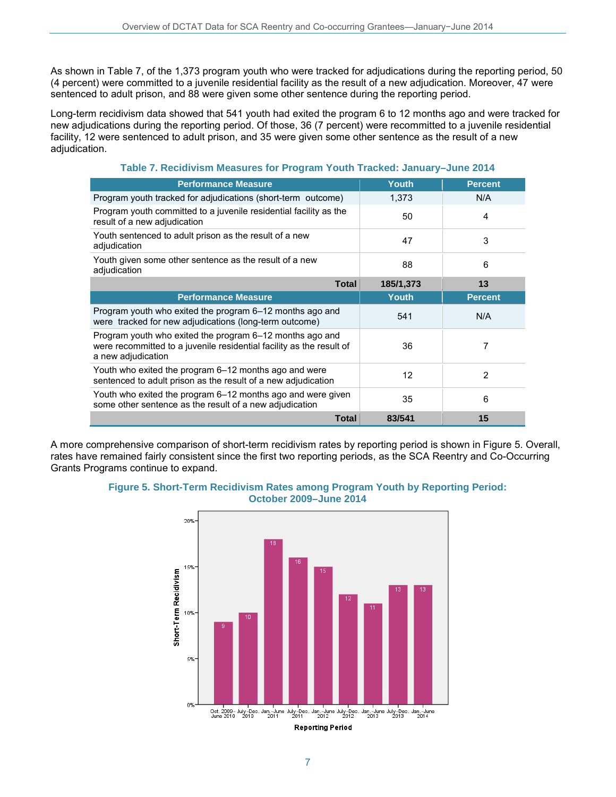As shown in Table 7, of the 1,373 program youth who were tracked for adjudications during the reporting period, 50 (4 percent) were committed to a juvenile residential facility as the result of a new adjudication. Moreover, 47 were sentenced to adult prison, and 88 were given some other sentence during the reporting period.

Long-term recidivism data showed that 541 youth had exited the program 6 to 12 months ago and were tracked for new adjudications during the reporting period. Of those, 36 (7 percent) were recommitted to a juvenile residential facility, 12 were sentenced to adult prison, and 35 were given some other sentence as the result of a new adjudication.

| $\mathbf{1}$ which is the contract of the contract of $\mathbf{1}$ is the contract of the contract of the contract of the contract of the contract of the contract of the contract of the contract of the contract of the contract of |       |                |  |  |
|---------------------------------------------------------------------------------------------------------------------------------------------------------------------------------------------------------------------------------------|-------|----------------|--|--|
| <b>Performance Measure</b>                                                                                                                                                                                                            | Youth | <b>Percent</b> |  |  |
| Program youth tracked for adjudications (short-term outcome)                                                                                                                                                                          | 1.373 | N/A            |  |  |
| Program youth committed to a juvenile residential facility as the<br>result of a new adjudication                                                                                                                                     | 50    | 4              |  |  |

#### **Table 7. Recidivism Measures for Program Youth Tracked: January–June 2014**

| result of a new adjudication                                                                                                                           |           |                |
|--------------------------------------------------------------------------------------------------------------------------------------------------------|-----------|----------------|
| Youth sentenced to adult prison as the result of a new<br>adjudication                                                                                 | 47        | 3              |
| Youth given some other sentence as the result of a new<br>adjudication                                                                                 | 88        | 6              |
| <b>Total</b>                                                                                                                                           | 185/1,373 | 13             |
| <b>Performance Measure</b>                                                                                                                             | Youth     | <b>Percent</b> |
| Program youth who exited the program 6–12 months ago and<br>were tracked for new adjudications (long-term outcome)                                     | 541       | N/A            |
| Program youth who exited the program 6–12 months ago and<br>were recommitted to a juvenile residential facility as the result of<br>a new adjudication | 36        | 7              |
| Youth who exited the program 6-12 months ago and were<br>sentenced to adult prison as the result of a new adjudication                                 | 12        | 2              |
| Youth who exited the program 6–12 months ago and were given<br>some other sentence as the result of a new adjudication                                 | 35        | 6              |
| Total                                                                                                                                                  | 83/541    | 15             |

A more comprehensive comparison of short-term recidivism rates by reporting period is shown in Figure 5. Overall, rates have remained fairly consistent since the first two reporting periods, as the SCA Reentry and Co-Occurring Grants Programs continue to expand.



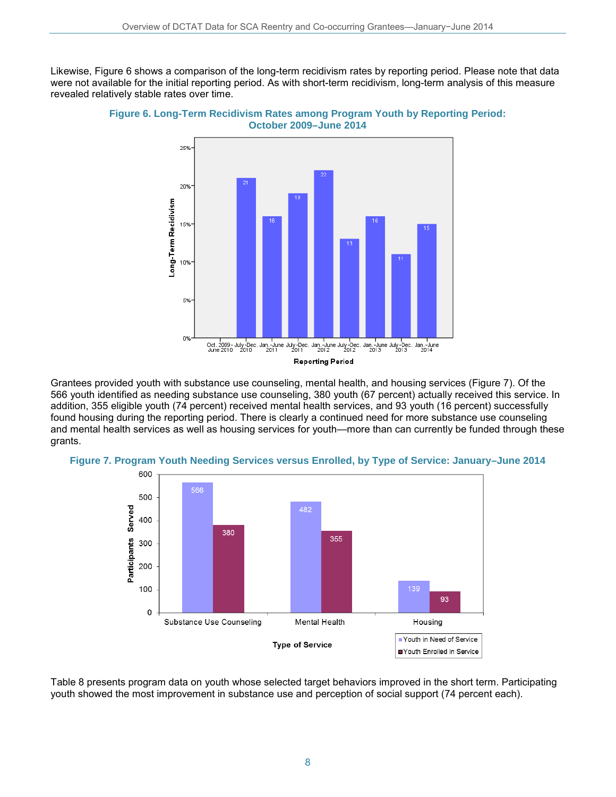Likewise, Figure 6 shows a comparison of the long-term recidivism rates by reporting period. Please note that data were not available for the initial reporting period. As with short-term recidivism, long-term analysis of this measure revealed relatively stable rates over time.



**Figure 6. Long-Term Recidivism Rates among Program Youth by Reporting Period: October 2009–June 2014**

Grantees provided youth with substance use counseling, mental health, and housing services (Figure 7). Of the 566 youth identified as needing substance use counseling, 380 youth (67 percent) actually received this service. In addition, 355 eligible youth (74 percent) received mental health services, and 93 youth (16 percent) successfully found housing during the reporting period. There is clearly a continued need for more substance use counseling and mental health services as well as housing services for youth—more than can currently be funded through these grants.





Table 8 presents program data on youth whose selected target behaviors improved in the short term. Participating youth showed the most improvement in substance use and perception of social support (74 percent each).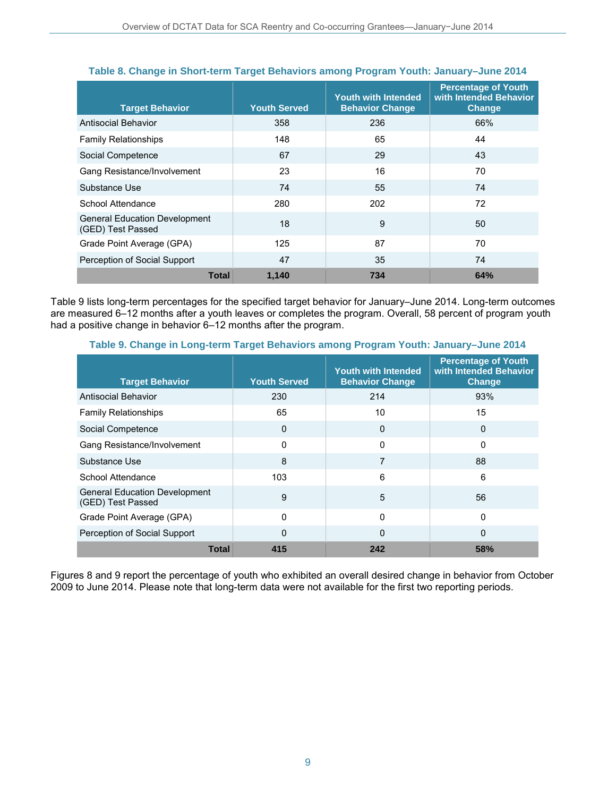| <b>Target Behavior</b>                                    | <b>Youth Served</b> | <b>Youth with Intended</b><br><b>Behavior Change</b> | <b>Percentage of Youth</b><br>with Intended Behavior<br><b>Change</b> |
|-----------------------------------------------------------|---------------------|------------------------------------------------------|-----------------------------------------------------------------------|
| Antisocial Behavior                                       | 358                 | 236                                                  | 66%                                                                   |
| <b>Family Relationships</b>                               | 148                 | 65                                                   | 44                                                                    |
| Social Competence                                         | 67                  | 29                                                   | 43                                                                    |
| Gang Resistance/Involvement                               | 23                  | 16                                                   | 70                                                                    |
| Substance Use                                             | 74                  | 55                                                   | 74                                                                    |
| School Attendance                                         | 280                 | 202                                                  | 72                                                                    |
| <b>General Education Development</b><br>(GED) Test Passed | 18                  | 9                                                    | 50                                                                    |
| Grade Point Average (GPA)                                 | 125                 | 87                                                   | 70                                                                    |
| Perception of Social Support                              | 47                  | 35                                                   | 74                                                                    |
| <b>Total</b>                                              | 1,140               | 734                                                  | 64%                                                                   |

#### **Table 8. Change in Short-term Target Behaviors among Program Youth: January–June 2014**

Table 9 lists long-term percentages for the specified target behavior for January–June 2014. Long-term outcomes are measured 6–12 months after a youth leaves or completes the program. Overall, 58 percent of program youth had a positive change in behavior 6-12 months after the program.

| Table 9. Change in Long-term Target Behaviors among Program Youth: January-June 2014 |  |
|--------------------------------------------------------------------------------------|--|

| <b>Target Behavior</b>                                    | <b>Youth Served</b> | <b>Youth with Intended</b><br><b>Behavior Change</b> | <b>Percentage of Youth</b><br>with Intended Behavior<br><b>Change</b> |
|-----------------------------------------------------------|---------------------|------------------------------------------------------|-----------------------------------------------------------------------|
| Antisocial Behavior                                       | 230                 | 214                                                  | 93%                                                                   |
| <b>Family Relationships</b>                               | 65                  | 10                                                   | 15                                                                    |
| Social Competence                                         | $\Omega$            | 0                                                    | $\Omega$                                                              |
| Gang Resistance/Involvement                               | 0                   | 0                                                    | $\mathbf 0$                                                           |
| Substance Use                                             | 8                   | 7                                                    | 88                                                                    |
| School Attendance                                         | 103                 | 6                                                    | 6                                                                     |
| <b>General Education Development</b><br>(GED) Test Passed | 9                   | 5                                                    | 56                                                                    |
| Grade Point Average (GPA)                                 | $\Omega$            | 0                                                    | $\mathbf 0$                                                           |
| Perception of Social Support                              | $\Omega$            | $\Omega$                                             | $\Omega$                                                              |
| <b>Total</b>                                              | 415                 | 242                                                  | 58%                                                                   |

Figures 8 and 9 report the percentage of youth who exhibited an overall desired change in behavior from October 2009 to June 2014. Please note that long-term data were not available for the first two reporting periods.